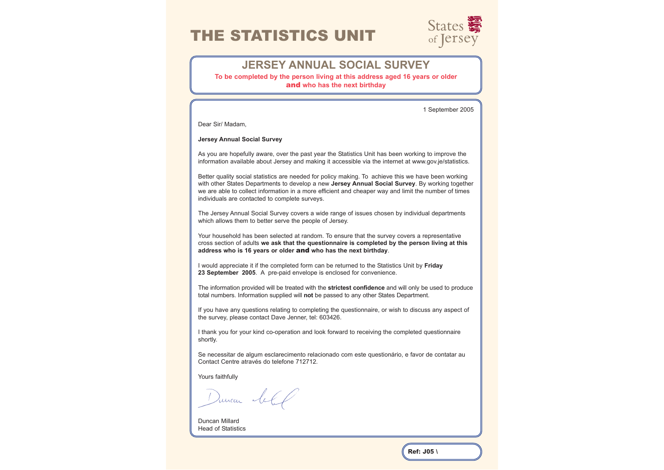# THE STATISTICS UNIT



# **JERSEY ANNUAL SOCIAL SURVEY**

**To be completed by the person living at this address aged 16 years or older**  and **who has the next birthday**

1 September 2005

Dear Sir/ Madam,

### **Jersey Annual Social Survey**

As you are hopefully aware, over the past year the Statistics Unit has been working to improve the information available about Jersey and making it accessible via the internet at www.gov.je/statistics.

Better quality social statistics are needed for policy making. To achieve this we have been working with other States Departments to develop a new **Jersey Annual Social Survey**. By working together we are able to collect information in a more efficient and cheaper way and limit the number of times individuals are contacted to complete surveys.

The Jersey Annual Social Survey covers a wide range of issues chosen by individual departments which allows them to better serve the people of Jersey.

Your household has been selected at random. To ensure that the survey covers a representative cross section of adults **we ask that the questionnaire is completed by the person living at this address who is 16 years or older** and **who has the next birthday**.

I would appreciate it if the completed form can be returned to the Statistics Unit by **Friday 23 September 2005**. A pre-paid envelope is enclosed for convenience.

The information provided will be treated with the **strictest confidence** and will only be used to produce total numbers. Information supplied will **not** be passed to any other States Department.

If you have any questions relating to completing the questionnaire, or wish to discuss any aspect of the survey, please contact Dave Jenner, tel: 603426.

I thank you for your kind co-operation and look forward to receiving the completed questionnaire shortly.

Se necessitar de algum esclarecimento relacionado com este questionário, e favor de contatar au Contact Centre através do telefone 712712.

Yours faithfully

Duncar let

Duncan Millard Head of Statistics

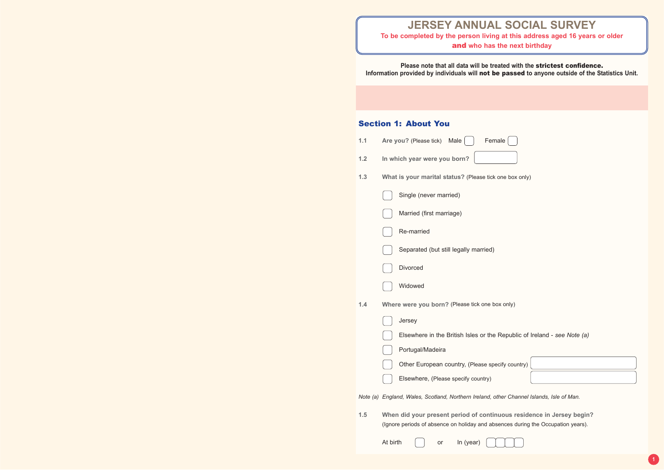**Please note that all data will be treated with the** strictest confidence. **Information provided by individuals will** not be passed **to anyone outside of the Statistics Unit.**

# Section 1: About You

| 1.1 | Male<br>Female<br>Are you? (Please tick)                                                                                                                  |  |  |  |  |  |  |
|-----|-----------------------------------------------------------------------------------------------------------------------------------------------------------|--|--|--|--|--|--|
| 1.2 | In which year were you born?                                                                                                                              |  |  |  |  |  |  |
| 1.3 | What is your marital status? (Please tick one box only)                                                                                                   |  |  |  |  |  |  |
|     | Single (never married)                                                                                                                                    |  |  |  |  |  |  |
|     | Married (first marriage)                                                                                                                                  |  |  |  |  |  |  |
|     | Re-married                                                                                                                                                |  |  |  |  |  |  |
|     | Separated (but still legally married)                                                                                                                     |  |  |  |  |  |  |
|     | <b>Divorced</b>                                                                                                                                           |  |  |  |  |  |  |
|     | Widowed                                                                                                                                                   |  |  |  |  |  |  |
| 1.4 | Where were you born? (Please tick one box only)                                                                                                           |  |  |  |  |  |  |
|     | Jersey                                                                                                                                                    |  |  |  |  |  |  |
|     | Elsewhere in the British Isles or the Republic of Ireland - see Note (a)                                                                                  |  |  |  |  |  |  |
|     | Portugal/Madeira                                                                                                                                          |  |  |  |  |  |  |
|     | Other European country, (Please specify country)                                                                                                          |  |  |  |  |  |  |
|     | Elsewhere, (Please specify country)                                                                                                                       |  |  |  |  |  |  |
|     | Note (a) England, Wales, Scotland, Northern Ireland, other Channel Islands, Isle of Man.                                                                  |  |  |  |  |  |  |
| 1.5 | When did your present period of continuous residence in Jersey begin?<br>(Ignore periods of absence on holiday and absences during the Occupation years). |  |  |  |  |  |  |
|     | At birth<br>In (year)<br>or                                                                                                                               |  |  |  |  |  |  |

# **JERSEY ANNUAL SOCIAL SURVEY To be completed by the person living at this address aged 16 years or older**  and **who has the next birthday**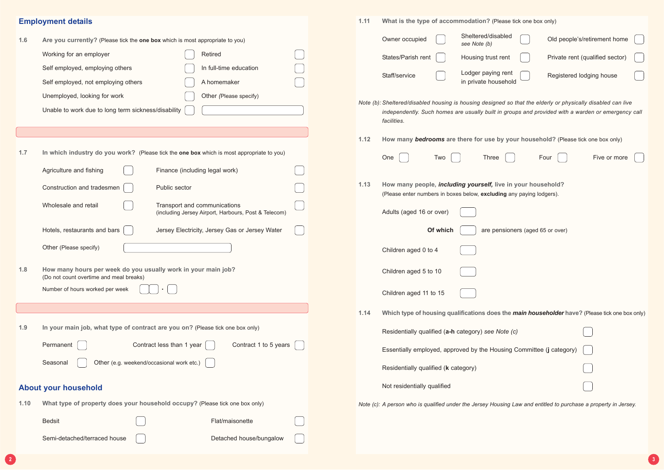|      | <b>Employment details</b>                                                                                                                                                                                                              | 1.11<br>What is the type of accommodation? (Please tick one box only) |                                                                                                                                                                                                                                                                |  |  |  |
|------|----------------------------------------------------------------------------------------------------------------------------------------------------------------------------------------------------------------------------------------|-----------------------------------------------------------------------|----------------------------------------------------------------------------------------------------------------------------------------------------------------------------------------------------------------------------------------------------------------|--|--|--|
| 1.6  | Are you currently? (Please tick the one box which is most appropriate to you)<br>Retired<br>Working for an employer<br>In full-time education<br>Self employed, employing others<br>Self employed, not employing others<br>A homemaker |                                                                       | Sheltered/disabled<br>Old people's/retirement home<br>Owner occupied<br>see Note (b)<br>States/Parish rent<br>Private rent (qualified sector)<br>Housing trust rent<br>Lodger paying rent<br>Staff/service<br>Registered lodging house<br>in private household |  |  |  |
|      | Unemployed, looking for work<br>Other (Please specify)<br>Unable to work due to long term sickness/disability                                                                                                                          |                                                                       | Note (b): Sheltered/disabled housing is housing designed so that the elderly or physically disabled can live<br>independently. Such homes are usually built in groups and provided with a warden or emergency call<br>facilities.                              |  |  |  |
|      |                                                                                                                                                                                                                                        | 1.12                                                                  | How many bedrooms are there for use by your household? (Please tick one box only)                                                                                                                                                                              |  |  |  |
| 1.7  | In which industry do you work? (Please tick the one box which is most appropriate to you)<br>Agriculture and fishing<br>Finance (including legal work)                                                                                 |                                                                       | Five or more<br>One<br>Three<br>Four<br>Two                                                                                                                                                                                                                    |  |  |  |
|      | Construction and tradesmen<br>Public sector                                                                                                                                                                                            | 1.13                                                                  | How many people, including yourself, live in your household?<br>(Please enter numbers in boxes below, excluding any paying lodgers).                                                                                                                           |  |  |  |
|      | Transport and communications<br>Wholesale and retail<br>(including Jersey Airport, Harbours, Post & Telecom)                                                                                                                           |                                                                       | Adults (aged 16 or over)                                                                                                                                                                                                                                       |  |  |  |
|      | Hotels, restaurants and bars<br>Jersey Electricity, Jersey Gas or Jersey Water                                                                                                                                                         |                                                                       | Of which<br>are pensioners (aged 65 or over)                                                                                                                                                                                                                   |  |  |  |
|      | Other (Please specify)                                                                                                                                                                                                                 |                                                                       | Children aged 0 to 4                                                                                                                                                                                                                                           |  |  |  |
| 1.8  | How many hours per week do you usually work in your main job?<br>(Do not count overtime and meal breaks)                                                                                                                               |                                                                       | Children aged 5 to 10                                                                                                                                                                                                                                          |  |  |  |
|      | Number of hours worked per week                                                                                                                                                                                                        |                                                                       | Children aged 11 to 15                                                                                                                                                                                                                                         |  |  |  |
|      |                                                                                                                                                                                                                                        | 1.14                                                                  | Which type of housing qualifications does the <i>main householder</i> have? (Please tick one box only)                                                                                                                                                         |  |  |  |
| 1.9  | In your main job, what type of contract are you on? (Please tick one box only)                                                                                                                                                         |                                                                       | Residentially qualified (a-h category) see Note (c)                                                                                                                                                                                                            |  |  |  |
|      | Contract 1 to 5 years $\vert$<br>Contract less than 1 year<br>Permanent                                                                                                                                                                |                                                                       | Essentially employed, approved by the Housing Committee (j category)                                                                                                                                                                                           |  |  |  |
|      | Other (e.g. weekend/occasional work etc.)<br>Seasonal                                                                                                                                                                                  |                                                                       | Residentially qualified (k category)                                                                                                                                                                                                                           |  |  |  |
|      | <b>About your household</b>                                                                                                                                                                                                            |                                                                       | Not residentially qualified                                                                                                                                                                                                                                    |  |  |  |
| 1.10 | What type of property does your household occupy? (Please tick one box only)                                                                                                                                                           |                                                                       | Note (c): A person who is qualified under the Jersey Housing Law and entitled to purchase a property in Jersey.                                                                                                                                                |  |  |  |
|      | <b>Bedsit</b><br>Flat/maisonette                                                                                                                                                                                                       |                                                                       |                                                                                                                                                                                                                                                                |  |  |  |
|      | Semi-detached/terraced house<br>Detached house/bungalow                                                                                                                                                                                |                                                                       |                                                                                                                                                                                                                                                                |  |  |  |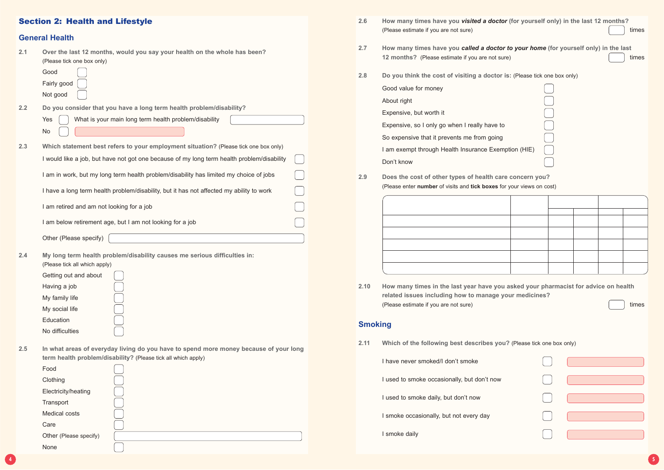- **2.6 How many times have you** *visited a doctor* **(for yourself only) in the last 12 months?** (Please estimate if you are not sure)
- **2.7 how many times have you called a doctor 12 months?** (Please estimate if you are not sure
- **2.8 Do you think the cost of visiting a doctor is:** (Please tick one box only) Good value for money About right Expensive, but worth it

Expensive, so I only go when I really have to

I am exempt through Health Insurance Exen Don't know

So expensive that it prevents me from going

**2.10 How many times in the last year have you asked your pharmacist for advice on health related issues including how to manage your medicines?** (Please estimate if you are not sure)  $\left\{ \begin{array}{c} \end{array} \right\}$  times

- **2.11 Which of the following best describes you?** (Please tick one box only)
	- I have never smoked/I don't smoke
	- I used to smoke occasionally, but don't now
	- I used to smoke daily, but don't now
	- I smoke occasionally, but not every day
	- **I** smoke daily

**2.9 Does the cost of other types of health care concern you?** (Please enter **number** of visits and **tick boxes** for your views on cost)



| $\mathbf{I}$                          |                                                                      |
|---------------------------------------|----------------------------------------------------------------------|
| $\begin{bmatrix} 1 & 1 \end{bmatrix}$ | $\left(\begin{array}{ccc} 0 & 0 & 0 \\ 0 & 0 & 0 \end{array}\right)$ |
| $\begin{bmatrix} 1 & 1 \end{bmatrix}$ |                                                                      |
| $\begin{bmatrix} 1 & 1 \end{bmatrix}$ | $\left(\begin{array}{ccc} 0 & 0 & 0 \\ 0 & 0 & 0 \end{array}\right)$ |
| l a T                                 | <b>CONTRACTOR</b>                                                    |

# **Smoking**

## Section 2: Health and Lifestyle

|     | OBIIBI AI NGAILII                                                                                                                                                                                                                                                 |
|-----|-------------------------------------------------------------------------------------------------------------------------------------------------------------------------------------------------------------------------------------------------------------------|
| 2.1 | Over the last 12 months, would you say your health on the whole has been?<br>(Please tick one box only)<br>Good<br>Fairly good                                                                                                                                    |
|     | Not good                                                                                                                                                                                                                                                          |
| 2.2 | Do you consider that you have a long term health problem/disability?<br>Yes<br>What is your main long term health problem/disability                                                                                                                              |
|     | No                                                                                                                                                                                                                                                                |
| 2.3 | Which statement best refers to your employment situation? (Please tick one box only)                                                                                                                                                                              |
|     | I would like a job, but have not got one because of my long term health problem/disability                                                                                                                                                                        |
|     | I am in work, but my long term health problem/disability has limited my choice of jobs                                                                                                                                                                            |
|     | I have a long term health problem/disability, but it has not affected my ability to work                                                                                                                                                                          |
|     | I am retired and am not looking for a job                                                                                                                                                                                                                         |
|     | I am below retirement age, but I am not looking for a job                                                                                                                                                                                                         |
|     | Other (Please specify)                                                                                                                                                                                                                                            |
| 2.4 | My long term health problem/disability causes me serious difficulties in:<br>(Please tick all which apply)<br>Getting out and about<br>Having a job<br>My family life<br>My social life<br>Education<br>No difficulties                                           |
| 2.5 | In what areas of everyday living do you have to spend more money because of your long<br>term health problem/disability? (Please tick all which apply)<br>Food<br>Clothing<br>Electricity/heating<br>Transport<br>Medical costs<br>Care<br>Other (Please specify) |

None

| or (for yourself only) in the last 12 months?<br>$\left  \begin{array}{c} \end{array} \right $ times                     |
|--------------------------------------------------------------------------------------------------------------------------|
| or to your home (for yourself only) in the last<br>$\left\lceil \begin{array}{c} \end{array} \right\rceil$ times<br>ure) |

| O            |  |
|--------------|--|
| J            |  |
| mption (HIE) |  |
|              |  |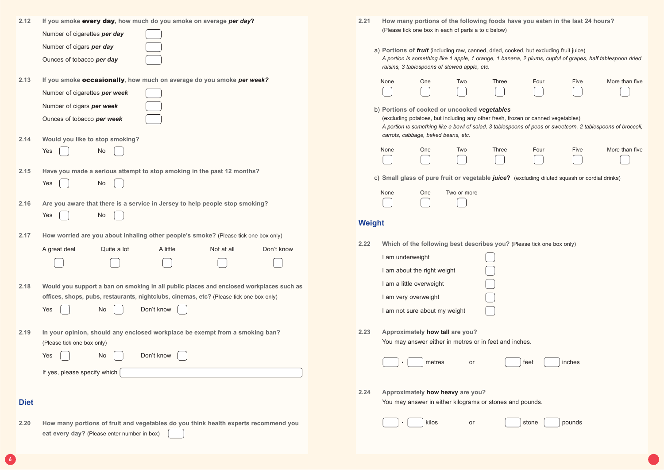| 2.12        | If you smoke every day, how much do you smoke on average per day?                                                                  | 2.21<br>How many portions of the following foods have you eaten in the last<br>(Please tick one box in each of parts a to c below)                                                                            |
|-------------|------------------------------------------------------------------------------------------------------------------------------------|---------------------------------------------------------------------------------------------------------------------------------------------------------------------------------------------------------------|
|             | Number of cigarettes per day                                                                                                       |                                                                                                                                                                                                               |
|             | Number of cigars per day                                                                                                           | a) Portions of <i>fruit</i> (including raw, canned, dried, cooked, but excluding fruit juice)                                                                                                                 |
|             | Ounces of tobacco per day                                                                                                          | A portion is something like 1 apple, 1 orange, 1 banana, 2 plums, cupful of grapes<br>raisins, 3 tablespoons of stewed apple, etc.                                                                            |
| 2.13        | If you smoke occasionally, how much on average do you smoke per week?                                                              | None<br>One<br>Two<br><b>Three</b><br>Four<br>Five                                                                                                                                                            |
|             | Number of cigarettes per week                                                                                                      |                                                                                                                                                                                                               |
|             | Number of cigars per week                                                                                                          | b) Portions of cooked or uncooked vegetables                                                                                                                                                                  |
|             | Ounces of tobacco per week                                                                                                         | (excluding potatoes, but including any other fresh, frozen or canned vegetables)<br>A portion is something like a bowl of salad, 3 tablespoons of peas or sweetcorn, 2<br>carrots, cabbage, baked beans, etc. |
| 2.14        | Would you like to stop smoking?                                                                                                    |                                                                                                                                                                                                               |
|             | Yes<br>No                                                                                                                          | Four<br>None<br>One<br>Two<br><b>Three</b><br>Five                                                                                                                                                            |
| 2.15        | Have you made a serious attempt to stop smoking in the past 12 months?                                                             |                                                                                                                                                                                                               |
|             | <b>No</b><br>Yes                                                                                                                   | c) Small glass of pure fruit or vegetable juice? (excluding diluted squash or                                                                                                                                 |
|             |                                                                                                                                    | None<br>One<br>Two or more                                                                                                                                                                                    |
| 2.16        | Are you aware that there is a service in Jersey to help people stop smoking?                                                       |                                                                                                                                                                                                               |
|             | <b>No</b><br>Yes                                                                                                                   | <b>Weight</b>                                                                                                                                                                                                 |
| 2.17        | How worried are you about inhaling other people's smoke? (Please tick one box only)                                                |                                                                                                                                                                                                               |
|             | Quite a lot<br>A little<br>Don't know<br>Not at all<br>A great deal                                                                | 2.22<br>Which of the following best describes you? (Please tick one box only)                                                                                                                                 |
|             |                                                                                                                                    | I am underweight                                                                                                                                                                                              |
|             |                                                                                                                                    | I am about the right weight                                                                                                                                                                                   |
| 2.18        | Would you support a ban on smoking in all public places and enclosed workplaces such as                                            | I am a little overweight                                                                                                                                                                                      |
|             | offices, shops, pubs, restaurants, nightclubs, cinemas, etc? (Please tick one box only)                                            | I am very overweight                                                                                                                                                                                          |
|             | Yes<br>No<br>Don't know                                                                                                            | I am not sure about my weight                                                                                                                                                                                 |
| 2.19        | In your opinion, should any enclosed workplace be exempt from a smoking ban?                                                       | Approximately how tall are you?<br>2.23                                                                                                                                                                       |
|             | (Please tick one box only)                                                                                                         | You may answer either in metres or in feet and inches.                                                                                                                                                        |
|             | Don't know<br>No<br>Yes                                                                                                            |                                                                                                                                                                                                               |
|             |                                                                                                                                    | inches<br>metres<br>feet<br>or                                                                                                                                                                                |
|             | If yes, please specify which                                                                                                       |                                                                                                                                                                                                               |
|             |                                                                                                                                    | 2.24<br>Approximately how heavy are you?                                                                                                                                                                      |
| <b>Diet</b> |                                                                                                                                    | You may answer in either kilograms or stones and pounds.                                                                                                                                                      |
|             |                                                                                                                                    |                                                                                                                                                                                                               |
| 2.20        | How many portions of fruit and vegetables do you think health experts recommend you<br>eat every day? (Please enter number in box) | kilos<br>stone<br>pounds<br>or                                                                                                                                                                                |

**6**

**24** hours? *A portion is something like 1 apple, 1 orange, 1 banana, 2 plums, cupful of grapes, half tablespoon dried* ve More than five  $\overline{\phantom{0}}$ *A portion is something like a bowl of salad, 3 tablespoons of peas or sweetcorn, 2 tablespoons of broccoli,* ve More than five or cordial drinks)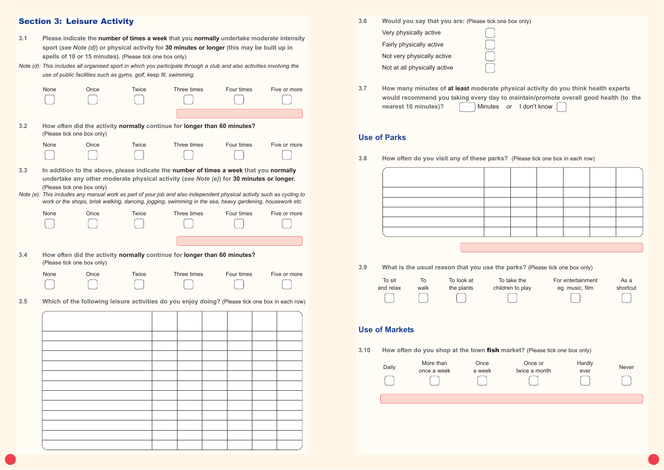| 3.6 | Would you say that you are: (Please tick one box only) |  |
|-----|--------------------------------------------------------|--|
|     | Very physically active                                 |  |
|     | Fairly physically active                               |  |
|     | Not very physically active                             |  |
|     | Not at all physically active                           |  |
|     |                                                        |  |

**3.7 How many minutes of at least moderate physical activity do you think health experts nearest 10 minutes)? Minutes** or I don't know

**would recommend you taking every day to maintain/promote overall good health (to the**

| 3.9  | What is the usual reason that you use the parks? (Please tick one box only) |                          |                          |                                                                           |                                      |                  |  |
|------|-----------------------------------------------------------------------------|--------------------------|--------------------------|---------------------------------------------------------------------------|--------------------------------------|------------------|--|
|      | To sit<br>and relax                                                         | To<br>walk               | To look at<br>the plants | To take the<br>children to play                                           | For entertainment<br>eg. music, film | As a<br>shortcut |  |
| 3.10 | <b>Use of Markets</b>                                                       |                          |                          | How often do you shop at the town fish market? (Please tick one box only) |                                      |                  |  |
|      | Daily                                                                       | More than<br>once a week | Once<br>a week           | Once or<br>twice a month                                                  | Hardly<br>ever                       | <b>Never</b>     |  |
|      |                                                                             |                          |                          |                                                                           |                                      |                  |  |

| 9  | What is the usual reason that you use the parks? (Please tick one box only) |                          |                          |                                                                                     |                          |                                      |                  |
|----|-----------------------------------------------------------------------------|--------------------------|--------------------------|-------------------------------------------------------------------------------------|--------------------------|--------------------------------------|------------------|
|    | To sit<br>and relax                                                         | To<br>walk               | To look at<br>the plants | To take the<br>children to play                                                     |                          | For entertainment<br>eg. music, film | As a<br>shortcut |
|    | <b>Se of Markets</b>                                                        |                          |                          |                                                                                     |                          |                                      |                  |
| 10 | Daily                                                                       | More than<br>once a week | Once                     | How often do you shop at the town fish market? (Please tick one box only)<br>a week | Once or<br>twice a month | Hardly<br>ever                       | Never            |
|    |                                                                             |                          |                          |                                                                                     |                          |                                      |                  |
|    |                                                                             |                          |                          |                                                                                     |                          |                                      |                  |

| 9  | What is the usual reason that you use the parks? (Please tick one box only) |                          |                          |                                 |                                                                           |                  |  |  |
|----|-----------------------------------------------------------------------------|--------------------------|--------------------------|---------------------------------|---------------------------------------------------------------------------|------------------|--|--|
|    | To sit<br>and relax                                                         | To<br>walk               | To look at<br>the plants | To take the<br>children to play | For entertainment<br>eg. music, film                                      | As a<br>shortcut |  |  |
| 10 | se of Markets                                                               |                          |                          |                                 | How often do you shop at the town fish market? (Please tick one box only) |                  |  |  |
|    | Daily                                                                       | More than<br>once a week | Once<br>a week           |                                 | Hardly<br>Once or<br>twice a month<br>ever                                | Never            |  |  |
|    |                                                                             |                          |                          |                                 |                                                                           |                  |  |  |
|    |                                                                             |                          |                          |                                 |                                                                           |                  |  |  |

# **Use of Parks**

**3.8 How often do you visit any of these parks?** (Please tick one box in each row)

# Section 3: Leisure Activity

| 3.1 | Please indicate the number of times a week that you normally undertake moderate intensity   |
|-----|---------------------------------------------------------------------------------------------|
|     | sport (see Note (d)) or physical activity for 30 minutes or longer (this may be built up in |
|     | spells of 10 or 15 minutes). (Please tick one box only)                                     |

*Note (d): This includes all organised sport in which you participate through a club and also activities involving the use of public facilities such as gyms, golf, keep fit, swimming.*

|     | None                                                                                                                                                                                                                                                                                                                                                                                                                                                 | Once | <b>Twice</b> | Three times                                                                                     | Four times | Five or more |  |  |
|-----|------------------------------------------------------------------------------------------------------------------------------------------------------------------------------------------------------------------------------------------------------------------------------------------------------------------------------------------------------------------------------------------------------------------------------------------------------|------|--------------|-------------------------------------------------------------------------------------------------|------------|--------------|--|--|
| 3.2 | (Please tick one box only)                                                                                                                                                                                                                                                                                                                                                                                                                           |      |              | How often did the activity normally continue for longer than 60 minutes?                        |            |              |  |  |
|     | None                                                                                                                                                                                                                                                                                                                                                                                                                                                 | Once | Twice        | Three times                                                                                     | Four times | Five or more |  |  |
| 3.3 | In addition to the above, please indicate the number of times a week that you normally<br>undertake any other moderate physical activity (see Note (e)) for 30 minutes or longer.<br>(Please tick one box only)<br>Note (e): This includes any manual work as part of your job and also independent physical activity such as cycling to<br>work or the shops, brisk walking, dancing, jogging, swimming in the sea, heavy gardening, housework etc. |      |              |                                                                                                 |            |              |  |  |
|     | None                                                                                                                                                                                                                                                                                                                                                                                                                                                 | Once | Twice        | Three times                                                                                     | Four times | Five or more |  |  |
| 3.4 | (Please tick one box only)                                                                                                                                                                                                                                                                                                                                                                                                                           |      |              | How often did the activity normally continue for longer than 60 minutes?                        |            |              |  |  |
|     | None                                                                                                                                                                                                                                                                                                                                                                                                                                                 | Once | Twice        | Three times                                                                                     | Four times | Five or more |  |  |
| 3.5 |                                                                                                                                                                                                                                                                                                                                                                                                                                                      |      |              | Which of the following leisure activities do you enjoy doing? (Please tick one box in each row) |            |              |  |  |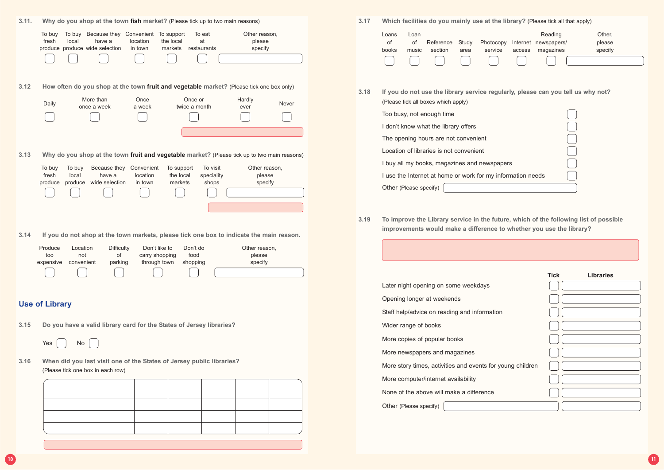| Which facilities do you mainly use at the library? (Please tick all that apply) |       |           |       |           |        |                      |         |  |
|---------------------------------------------------------------------------------|-------|-----------|-------|-----------|--------|----------------------|---------|--|
| Loans                                                                           | Loan  |           |       |           |        | Reading              | Other,  |  |
| of                                                                              | οf    | Reference | Study | Photocopy |        | Internet newspapers/ | please  |  |
| books                                                                           | music | section   | area  | service   | access | magazines            | specify |  |
| $\Box$                                                                          |       |           |       |           |        |                      |         |  |

**3.18 B.18 EXEGGBBBS IS 20.18 ISS 20.18 EXECGBBS 20.19 ISS 20.19 ISS 20.19 ISS 20.19 ISS 20.19 ISS 20.19 ISS 20.19 ISS 20.19 ISS 20.19 ISS 20.19 ISS 20.19 ISS 20.19 ISS 20.19 ISS 20.19 ISS 20.19 ISS 20.19 ISS 20.19** 

**3.19 To improve the Library service in the future, which of the following list of possible ke a difference to whether you use the library?** 



|               | <b>Tick</b> | <b>Libraries</b> |  |
|---------------|-------------|------------------|--|
|               |             |                  |  |
|               |             |                  |  |
|               |             |                  |  |
|               |             |                  |  |
|               |             |                  |  |
|               |             |                  |  |
| bung children |             |                  |  |
|               |             |                  |  |
|               |             |                  |  |
|               |             |                  |  |

|      | Why do you shop at the town fish market? (Please tick up to two main reasons)                                                                                                                                                         | 3.17 | Which facilities do you mainly use at the                                                                   |
|------|---------------------------------------------------------------------------------------------------------------------------------------------------------------------------------------------------------------------------------------|------|-------------------------------------------------------------------------------------------------------------|
|      | To buy Because they Convenient To support<br>To eat<br>Other reason,<br>To buy<br>at<br>fresh<br>local<br>have a<br>location<br>the local<br>please<br>produce produce wide selection<br>markets<br>in town<br>restaurants<br>specify |      | Loans<br>Loan<br>of<br>Study<br>οf<br>Reference<br>Photocop<br>section<br>service<br>books<br>music<br>area |
| 3.12 | How often do you shop at the town fruit and vegetable market? (Please tick one box only)<br>More than<br>Once or<br>Once<br>Hardly<br>Daily<br>Never<br>once a week<br>twice a month<br>a week<br>ever                                | 3.18 | If you do not use the library service regul<br>(Please tick all boxes which apply)                          |
|      |                                                                                                                                                                                                                                       |      | Too busy, not enough time<br>I don't know what the library offers                                           |
|      |                                                                                                                                                                                                                                       |      | The opening hours are not convenient                                                                        |
| 3.13 | Why do you shop at the town fruit and vegetable market? (Please tick up to two main reasons)                                                                                                                                          |      | Location of libraries is not convenient                                                                     |
|      | Because they<br>Convenient<br>To support<br>To visit<br>Other reason,<br>To buy<br>To buy                                                                                                                                             |      | I buy all my books, magazines and newspap                                                                   |
|      | fresh<br>local<br>have a<br>location<br>the local<br>speciality<br>please                                                                                                                                                             |      | I use the Internet at home or work for my info                                                              |
|      | wide selection<br>markets<br>produce<br>in town<br>shops<br>specify<br>produce                                                                                                                                                        |      | Other (Please specify)                                                                                      |
|      |                                                                                                                                                                                                                                       |      |                                                                                                             |
| 3.14 | If you do not shop at the town markets, please tick one box to indicate the main reason.                                                                                                                                              | 3.19 | To improve the Library service in the futu<br>improvements would make a difference to                       |
|      | <b>Difficulty</b><br>Don't like to<br>Location<br>Don't do<br>Other reason,<br>Produce<br>οf<br>food<br>too<br>not<br>carry shopping<br>please<br>through town<br>convenient<br>parking<br>shopping<br>specify<br>expensive           |      |                                                                                                             |
|      |                                                                                                                                                                                                                                       |      | Later night opening on some weekdays                                                                        |
|      | <b>Use of Library</b>                                                                                                                                                                                                                 |      | Opening longer at weekends                                                                                  |
|      |                                                                                                                                                                                                                                       |      | Staff help/advice on reading and information                                                                |
| 3.15 | Do you have a valid library card for the States of Jersey libraries?                                                                                                                                                                  |      | Wider range of books                                                                                        |
|      | Yes<br>No                                                                                                                                                                                                                             |      | More copies of popular books                                                                                |
|      |                                                                                                                                                                                                                                       |      | More newspapers and magazines                                                                               |
| 3.16 | When did you last visit one of the States of Jersey public libraries?                                                                                                                                                                 |      | More story times, activities and events for you                                                             |
|      | (Please tick one box in each row)                                                                                                                                                                                                     |      | More computer/internet availability                                                                         |
|      |                                                                                                                                                                                                                                       |      | None of the above will make a difference                                                                    |
|      |                                                                                                                                                                                                                                       |      | Other (Please specify)                                                                                      |
|      |                                                                                                                                                                                                                                       |      |                                                                                                             |
|      |                                                                                                                                                                                                                                       |      |                                                                                                             |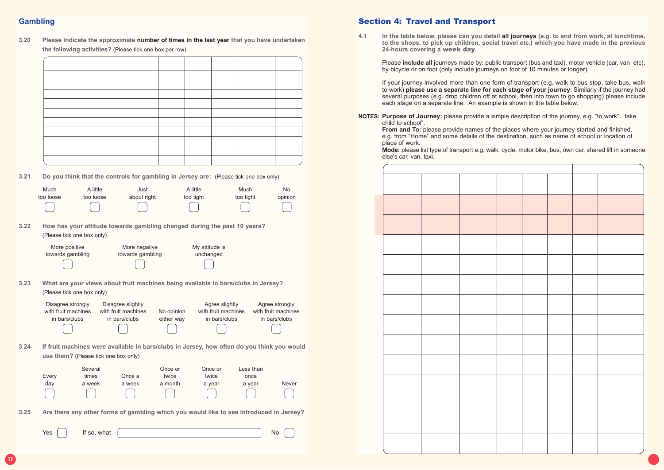## Section 4: Travel and Transport

**4.1 In the table below, please can you detail all journeys (e.g. to and from work, at lunchtime, to the shops, to pick up children, social travel etc.) which you have made in the previous**

Please **include all** journeys made by: public transport (bus and taxi), motor vehicle (car, van etc), by bicycle or on foot (only include journeys on foot of 10 minutes or longer).

**24-hours covering a** week day**.**

If your journey involved more than one form of transport (e.g. walk to bus stop, take bus, walk to work) **please use a separate line for each stage of your journey**. Similarly if the journey had several purposes (e.g. drop children off at school, then into town to go shopping) please include each stage on a separate line. An example is shown in the table below.

**NOTES: Purpose of Journey:** please provide a simple description of the journey, e.g. "to work", "take child to school".

**From and To:** please provide names of the places where your journey started and finished, e.g. from "Home" and some details of the destination, such as name of school or location of place of work.

**Mode:** please list type of transport e.g. walk, cycle, motor bike, bus, own car, shared lift in someone else's car, van, taxi.

# **Gambling**

| 3.20 | Please indicate the approximate number of times in the last year that you have undertaken |
|------|-------------------------------------------------------------------------------------------|
|      | the following activities? (Please tick one box per row)                                   |

**3.21 Do you think that the controls for gambling in Jersey are:** (Please tick one box only)

|      | Much<br>too loose                                         | A little<br>too loose                | Just<br>about right                                                                        |                             | A little<br>too tight                                  | Much<br>too tight           | <b>No</b><br>opinion                                   |
|------|-----------------------------------------------------------|--------------------------------------|--------------------------------------------------------------------------------------------|-----------------------------|--------------------------------------------------------|-----------------------------|--------------------------------------------------------|
| 3.22 |                                                           | (Please tick one box only)           | How has your attitude towards gambling changed during the past 10 years?                   |                             |                                                        |                             |                                                        |
|      | More positive<br>towards gambling                         |                                      | More negative<br>towards gambling                                                          |                             | My attitude is<br>unchanged                            |                             |                                                        |
| 3.23 |                                                           | (Please tick one box only)           | What are your views about fruit machines being available in bars/clubs in Jersey?          |                             |                                                        |                             |                                                        |
|      | Disagree strongly<br>with fruit machines<br>in bars/clubs |                                      | Disagree slightly<br>with fruit machines<br>in bars/clubs                                  | No opinion<br>either way    | Agree slightly<br>with fruit machines<br>in bars/clubs |                             | Agree strongly<br>with fruit machines<br>in bars/clubs |
| 3.24 |                                                           | use them? (Please tick one box only) | If fruit machines were available in bars/clubs in Jersey, how often do you think you would |                             |                                                        |                             |                                                        |
|      | Every<br>day                                              | Several<br>times<br>a week           | Once a<br>a week                                                                           | Once or<br>twice<br>a month | Once or<br>twice<br>a year                             | Less than<br>once<br>a year | Never                                                  |
| 3.25 |                                                           |                                      | Are there any other forms of gambling which you would like to see introduced in Jersey?    |                             |                                                        |                             |                                                        |

Yes If so, what No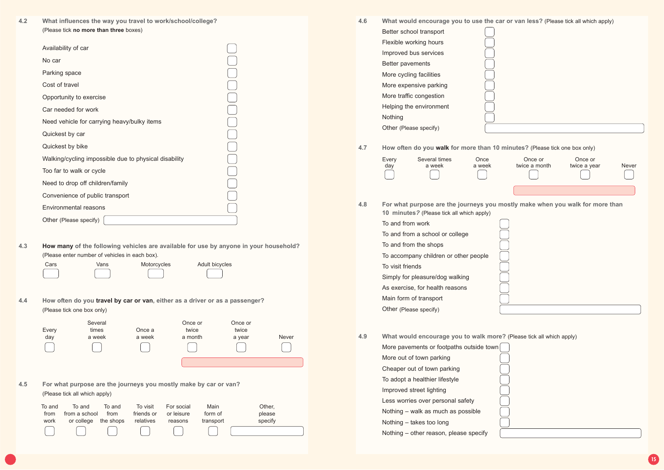



| 4.6 | What would encourage you to use the car                                               |  |  |  |  |
|-----|---------------------------------------------------------------------------------------|--|--|--|--|
|     | Better school transport                                                               |  |  |  |  |
|     | Flexible working hours                                                                |  |  |  |  |
|     | Improved bus services                                                                 |  |  |  |  |
|     | Better pavements                                                                      |  |  |  |  |
|     | More cycling facilities                                                               |  |  |  |  |
|     | More expensive parking                                                                |  |  |  |  |
|     | More traffic congestion                                                               |  |  |  |  |
|     | Helping the environment                                                               |  |  |  |  |
|     | Nothing                                                                               |  |  |  |  |
|     | Other (Please specify)                                                                |  |  |  |  |
| 4.7 | How often do you walk for more than 10 n                                              |  |  |  |  |
|     | Every<br>Several times<br>Once<br>a week<br>a week<br>day                             |  |  |  |  |
| 4.8 | For what purpose are the journeys you me<br>10 minutes? (Please tick all which apply) |  |  |  |  |
|     | To and from work                                                                      |  |  |  |  |
|     | To and from a school or college                                                       |  |  |  |  |
|     | To and from the shops                                                                 |  |  |  |  |
|     | To accompany children or other people                                                 |  |  |  |  |
|     | To visit friends                                                                      |  |  |  |  |
|     | Simply for pleasure/dog walking                                                       |  |  |  |  |
|     | As exercise, for health reasons                                                       |  |  |  |  |
|     | Main form of transport                                                                |  |  |  |  |
|     | Other (Please specify)                                                                |  |  |  |  |
| 4.9 | What would encourage you to walk more?                                                |  |  |  |  |
|     | More pavements or footpaths outside town                                              |  |  |  |  |
|     | More out of town parking                                                              |  |  |  |  |
|     | Cheaper out of town parking                                                           |  |  |  |  |
|     | To adopt a healthier lifestyle                                                        |  |  |  |  |
|     | Improved street lighting                                                              |  |  |  |  |
|     | Less worries over personal safety                                                     |  |  |  |  |
|     | Nothing - walk as much as possible                                                    |  |  |  |  |
|     |                                                                                       |  |  |  |  |

| 10 minutes? (Please tick all which apply)  |
|--------------------------------------------|
| To and from work                           |
| To and from a school or college            |
| To and from the shops                      |
| To accompany children or other people      |
| To visit friends                           |
| Simply for pleasure/dog walking            |
| As exercise, for health reasons            |
| Main form of transport                     |
| Other (Please specify)                     |
|                                            |
| Wilset way de energy wear was the wells me |
|                                            |

| To and | To and               | To and | To visit   | For social | Main      | Other,  |
|--------|----------------------|--------|------------|------------|-----------|---------|
| from   | from a school        | from   | friends or | or leisure | form of   | please  |
| work   | or college the shops |        | relatives  | reasons    | transport | specify |
|        |                      |        |            |            |           |         |

Nothing – takes too long

Nothing – other reason, please specify

**4.2 What influences the way you travel to work/school/college?** (Please tick **no more than three** boxes)

| Availability of car                                   |  |
|-------------------------------------------------------|--|
| No car                                                |  |
| Parking space                                         |  |
| Cost of travel                                        |  |
| Opportunity to exercise                               |  |
| Car needed for work                                   |  |
| Need vehicle for carrying heavy/bulky items           |  |
| Quickest by car                                       |  |
| Quickest by bike                                      |  |
| Walking/cycling impossible due to physical disability |  |
| Too far to walk or cycle                              |  |
| Need to drop off children/family                      |  |
| Convenience of public transport                       |  |
| <b>Environmental reasons</b>                          |  |
| Other (Please specify)                                |  |

**4.3 How many of the following vehicles are available for use by anyone in your household?** (Please enter number of vehicles in each box).

| Cars | ∨ans | Motorcycles | Adult bicycles |
|------|------|-------------|----------------|
|      |      |             |                |

**4.4 How often do you travel by car or van, either as a driver or as a passenger?** (Please tick one box only)

|       | Several |        | Once or | Once or |       |
|-------|---------|--------|---------|---------|-------|
| Every | times   | Once a | twice   | twice   |       |
| day   | a week  | a week | a month | a year  | Never |
|       |         |        |         |         |       |
|       |         |        |         |         |       |

**4.5 For what purpose are the journeys you mostly make by car or van?** (Please tick all which apply)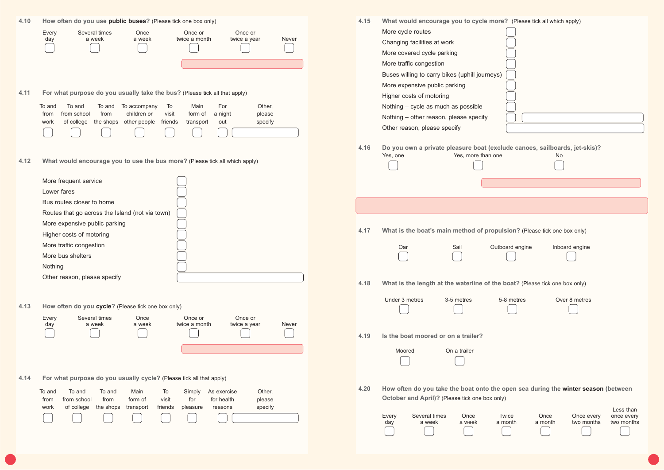| 4.10 | How often do you use public buses? (Please tick one box only)<br>Several times<br>Once<br>Once or<br>Every<br>Once or<br>a week<br>a week<br>twice a month<br>twice a year<br>Never<br>day                                                                                                                                               | What would encourage you to cycle more? (Please tick all which apply)<br>4.15<br>More cycle routes<br>Changing facilities at work<br>More covered cycle parking<br>More traffic congestion<br>Buses willing to carry bikes (uphill journeys)<br>More expensive public parking                                         |
|------|------------------------------------------------------------------------------------------------------------------------------------------------------------------------------------------------------------------------------------------------------------------------------------------------------------------------------------------|-----------------------------------------------------------------------------------------------------------------------------------------------------------------------------------------------------------------------------------------------------------------------------------------------------------------------|
| 4.11 | For what purpose do you usually take the bus? (Please tick all that apply)<br>To and<br>To and To accompany<br>Main<br>For<br>Other,<br>To<br>To and<br>from school<br>from<br>children or<br>visit<br>a night<br>please<br>form of<br>from<br>of college<br>the shops<br>other people<br>friends<br>specify<br>out<br>work<br>transport | Higher costs of motoring<br>Nothing - cycle as much as possible<br>Nothing - other reason, please specify<br>Other reason, please specify                                                                                                                                                                             |
| 4.12 | What would encourage you to use the bus more? (Please tick all which apply)                                                                                                                                                                                                                                                              | Do you own a private pleasure boat (exclude canoes, sailboards, jet-skis)?<br>4.16<br>Yes, one<br>Yes, more than one<br>No                                                                                                                                                                                            |
|      | More frequent service<br>Lower fares<br>Bus routes closer to home                                                                                                                                                                                                                                                                        |                                                                                                                                                                                                                                                                                                                       |
|      | Routes that go across the Island (not via town)<br>More expensive public parking<br>Higher costs of motoring<br>More traffic congestion                                                                                                                                                                                                  | What is the boat's main method of propulsion? (Please tick one box only)<br>4.17<br>Outboard engine<br>Oar<br>Sail<br>Inboard engine                                                                                                                                                                                  |
|      | More bus shelters<br>Nothing<br>Other reason, please specify                                                                                                                                                                                                                                                                             | 4.18<br>What is the length at the waterline of the boat? (Please tick one box only)                                                                                                                                                                                                                                   |
| 4.13 | How often do you cycle? (Please tick one box only)<br>Every<br>Several times<br>Once<br>Once or<br>Once or                                                                                                                                                                                                                               | Under 3 metres<br>Over 8 metres<br>3-5 metres<br>5-8 metres                                                                                                                                                                                                                                                           |
|      | a week<br>twice a month<br>twice a year<br>Never<br>day<br>a week                                                                                                                                                                                                                                                                        | Is the boat moored or on a trailer?<br>4.19<br>Moored<br>On a trailer                                                                                                                                                                                                                                                 |
| 4.14 | For what purpose do you usually cycle? (Please tick all that apply)<br>To<br>Other,<br>To and<br>To and<br>To and<br>Main<br>Simply<br>As exercise<br>visit<br>for<br>for health<br>from school<br>from<br>form of<br>please<br>from<br>specify<br>of college<br>the shops<br>friends<br>work<br>transport<br>pleasure<br>reasons        | 4.20<br>How often do you take the boat onto the open sea during the winter season (between<br>October and April)? (Please tick one box only)<br>Less than<br>Every<br>Once<br>Twice<br>Once<br>Several times<br>Once every<br>once every<br>a month<br>two months<br>a month<br>two months<br>a week<br>a week<br>day |
|      |                                                                                                                                                                                                                                                                                                                                          |                                                                                                                                                                                                                                                                                                                       |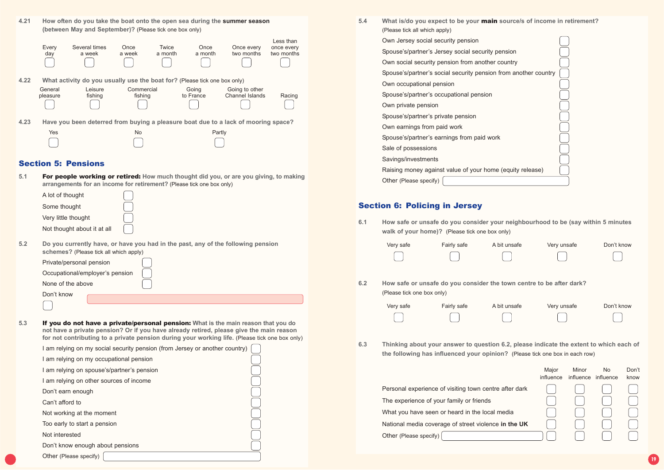| 5.4 | What is/do you expect to be your main source/s of income in retirement?<br>(Please tick all which apply) |  |
|-----|----------------------------------------------------------------------------------------------------------|--|
|     | Own Jersey social security pension                                                                       |  |
|     | Spouse's/partner's Jersey social security pension                                                        |  |
|     | Own social security pension from another country                                                         |  |
|     | Spouse's/partner's social security pension from another country                                          |  |
|     | Own occupational pension                                                                                 |  |
|     | Spouse's/partner's occupational pension                                                                  |  |
|     | Own private pension                                                                                      |  |
|     | Spouse's/partner's private pension                                                                       |  |
|     | Own earnings from paid work                                                                              |  |
|     | Spouse's/partner's earnings from paid work                                                               |  |
|     | Sale of possessions                                                                                      |  |
|     | Savings/investments                                                                                      |  |
|     | Raising money against value of your home (equity release)                                                |  |
|     | Other (Please specify)                                                                                   |  |

### Section 6: Policing in Jersey

**6.1 How safe or unsafe do you consider your neighbourhood to be (say within 5 minutes walk of your home)?** (Please tick one box only)

| 4.21 |                     | (between May and September)? (Please tick one box only)                   |                       |                  |                    | How often do you take the boat onto the open sea during the summer season          |                                       |
|------|---------------------|---------------------------------------------------------------------------|-----------------------|------------------|--------------------|------------------------------------------------------------------------------------|---------------------------------------|
|      | Every<br>day        | Several times<br>a week                                                   | Once<br>a week        | Twice<br>a month | Once<br>a month    | Once every<br>two months                                                           | Less than<br>once every<br>two months |
| 4.22 |                     | What activity do you usually use the boat for? (Please tick one box only) |                       |                  |                    |                                                                                    |                                       |
|      | General<br>pleasure | Leisure<br>fishing                                                        | Commercial<br>fishing |                  | Going<br>to France | Going to other<br><b>Channel Islands</b>                                           | Racing                                |
| 4.23 |                     |                                                                           |                       |                  |                    | Have you been deterred from buying a pleasure boat due to a lack of mooring space? |                                       |
|      | Yes                 |                                                                           | N <sub>o</sub>        |                  |                    | Partly                                                                             |                                       |
|      |                     |                                                                           |                       |                  |                    |                                                                                    |                                       |

|     | Very safe | Fairly safe | A bit unsafe   | Very unsafe                                                          |
|-----|-----------|-------------|----------------|----------------------------------------------------------------------|
|     |           |             | $\mathbb{R}^n$ | a ka                                                                 |
|     |           |             |                |                                                                      |
| 6.2 |           |             |                | How safe or unsafe do you consider the town centre to be after dark? |

| (Please tick one box only) |             |    |
|----------------------------|-------------|----|
| Verv safe                  | Fairly safe | Αb |

| Very safe | Fairly safe | A bit unsafe  | Very unsafe | Don't know |
|-----------|-------------|---------------|-------------|------------|
|           |             | $\frac{1}{2}$ |             |            |

**6.3 Thinking about your answer to question 6.2, please indicate the extent to which each of**

**the following has influenced your opinion?** (Please tick one box in each row)

Personal experience of visiting town centre The experience of your family or friends What you have seen or heard in the local me National media coverage of street violence i

| Private/personal pension        |  |
|---------------------------------|--|
| Occupational/employer's pension |  |
| None of the above               |  |
| Don't know                      |  |
|                                 |  |

|            | Major<br>influence | Minor | No<br>influence influence | Don't<br>know |
|------------|--------------------|-------|---------------------------|---------------|
| after dark |                    |       |                           |               |
|            |                    |       |                           |               |
| edia       |                    |       |                           |               |
| n the UK   |                    |       |                           |               |
|            |                    |       |                           |               |

Other (Please specify)

unsafe Very unsafe Don't know

### Section 5: Pensions

| 5.1 | <b>For people working or retired:</b> How much thought did you, or are you giving, to making |
|-----|----------------------------------------------------------------------------------------------|
|     | arrangements for an income for retirement? (Please tick one box only)                        |

| A lot of thought            |                                                        |
|-----------------------------|--------------------------------------------------------|
| Some thought                |                                                        |
| Very little thought         |                                                        |
| Not thought about it at all |                                                        |
|                             | Do you currently have, or have you had in the past, ar |

**5.2 Do you currently have, or have you had in the past, any of the following pension schemes?** (Please tick all which apply)

| 5.3 | If you do not have a private/personal pension: What is the main reason that you do             |
|-----|------------------------------------------------------------------------------------------------|
|     | not have a private pension? Or if you have already retired, please give the main reason        |
|     | for not contributing to a private pension during your working life. (Please tick one box only) |

I am relying on my social security pension (from Jersey or another country)

|  |  | I am relying on my occupational pension |  |  |
|--|--|-----------------------------------------|--|--|
|  |  |                                         |  |  |

I am relying on spouse's/partner's pension

I am relying on other sources of income

Don't earn enough

Can't afford to

Not working at the moment

Too early to start a pension

Not interested

Don't know enough about pensions

Other (Please specify)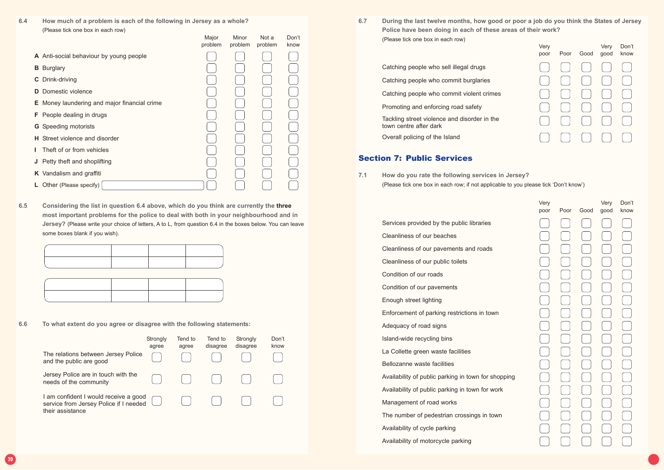**6.7 During the last twelve months, how good or poor a job do you think the States of Jersey Police have been doing in each of these areas of their work?** (Please tick one box in each row)

| Very<br>poor | Poor | Good | Very<br>good | Don't<br>know |
|--------------|------|------|--------------|---------------|
|              |      |      |              |               |
|              |      |      |              |               |
|              |      |      |              |               |
|              |      |      |              |               |
|              |      |      |              |               |
|              |      |      |              |               |

Catching people who sell illegal drugs

Catching people who commit burglaries

Catching people who commit violent crimes

Promoting and enforcing road safety

Tackling street violence and disorder in the town centre after dark

Overall policing of the Island

### Section 7: Public Services

**7.1 How do you rate the following services in Jersey?** (Please tick one box in each row; if not applicable to you please tick 'Don't know')

| Very |      |      | Very | Don't |
|------|------|------|------|-------|
| poor | Poor | Good | good | know  |
|      |      |      |      |       |
|      |      |      |      |       |
|      |      |      |      |       |
|      |      |      |      |       |
|      |      |      |      |       |
|      |      |      |      |       |
|      |      |      |      |       |
|      |      |      |      |       |
|      |      |      |      |       |
|      |      |      |      |       |
|      |      |      |      |       |
|      |      |      |      |       |
|      |      |      |      |       |
|      |      |      |      |       |
|      |      |      |      |       |
|      |      |      |      |       |
|      |      |      |      |       |
|      |      |      |      |       |
|      |      |      |      |       |
|      |      |      |      |       |
|      |      |      |      |       |
|      |      |      |      |       |
|      |      |      |      |       |
|      |      |      |      |       |

|                                                     | Major<br>problem | Minor<br>problem | Not a<br>problem | Don't<br>know |
|-----------------------------------------------------|------------------|------------------|------------------|---------------|
| A Anti-social behaviour by young people             |                  |                  |                  |               |
| <b>Burglary</b><br>В                                |                  |                  |                  |               |
| Drink-driving<br>$\mathbf{C}$                       |                  |                  |                  |               |
| Domestic violence<br>D                              |                  |                  |                  |               |
| <b>E</b> Money laundering and major financial crime |                  |                  |                  |               |
| <b>F</b> People dealing in drugs                    |                  |                  |                  |               |
| Speeding motorists<br>G                             |                  |                  |                  |               |
| Street violence and disorder<br>н.                  |                  |                  |                  |               |
| Theft of or from vehicles                           |                  |                  |                  |               |
| Petty theft and shoplifting<br>J                    |                  |                  |                  |               |
| K Vandalism and graffiti                            |                  |                  |                  |               |
| Other (Please specify)<br>Ы.                        |                  |                  |                  |               |

Services provided by the public libraries Cleanliness of our beaches Cleanliness of our pavements and roads Cleanliness of our public toilets Condition of our roads Condition of our pavements Enough street lighting Enforcement of parking restrictions in town Adequacy of road signs Island-wide recycling bins La Collette green waste facilities Bellozanne waste facilities Availability of public parking in town for shopping Availability of public parking in town for work Management of road works The number of pedestrian crossings in town Availability of cycle parking Availability of motorcycle parking

**6.4 How much of a problem is each of the following in Jersey as a whole?** (Please tick one box in each row)

**6.5 Considering the list in question 6.4 above, which do you think are currently the three most important problems for the police to deal with both in your neighbourhood and in Jersey?** (Please write your choice of letters, A to L, from question 6.4 in the boxes below. You can leave some boxes blank if you wish).

**6.6 To what extent do you agree or disagree with the following statements:**

|                                                                                                     | Strongly<br>agree | Tend to<br>agree | Tend to<br>disagree | Strongly<br>disagree | Don't<br>know |
|-----------------------------------------------------------------------------------------------------|-------------------|------------------|---------------------|----------------------|---------------|
| The relations between Jersey Police<br>and the public are good                                      |                   |                  |                     |                      |               |
| Jersey Police are in touch with the<br>needs of the community                                       |                   |                  |                     |                      |               |
| I am confident I would receive a good<br>service from Jersey Police if I needed<br>their assistance |                   |                  |                     |                      |               |